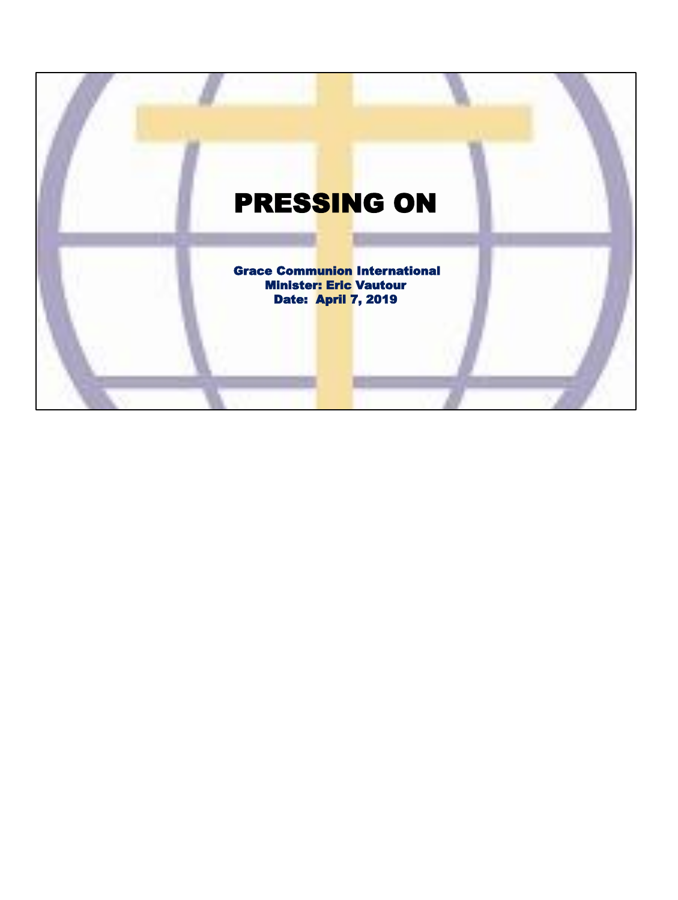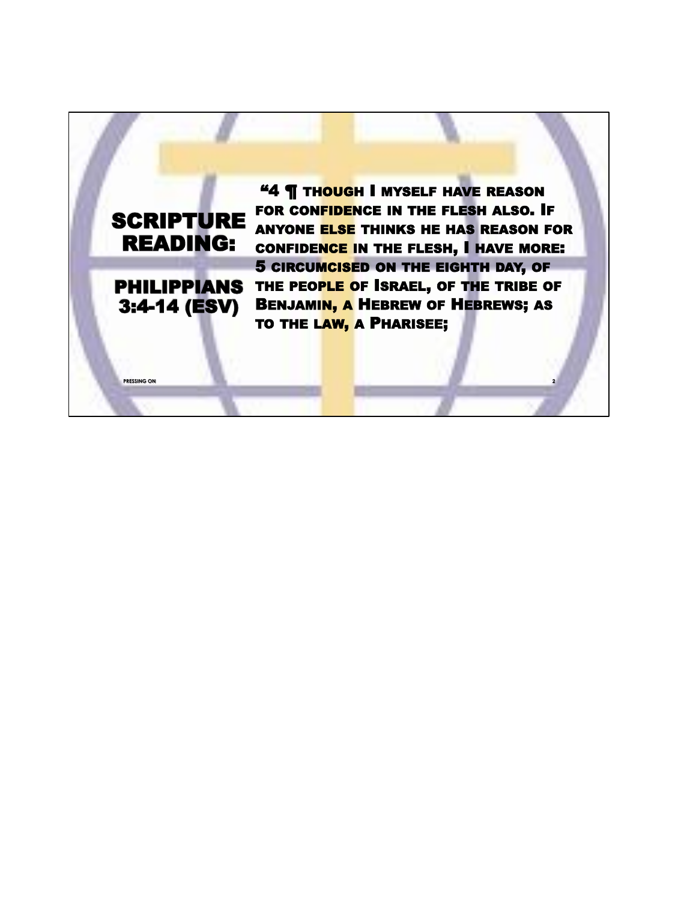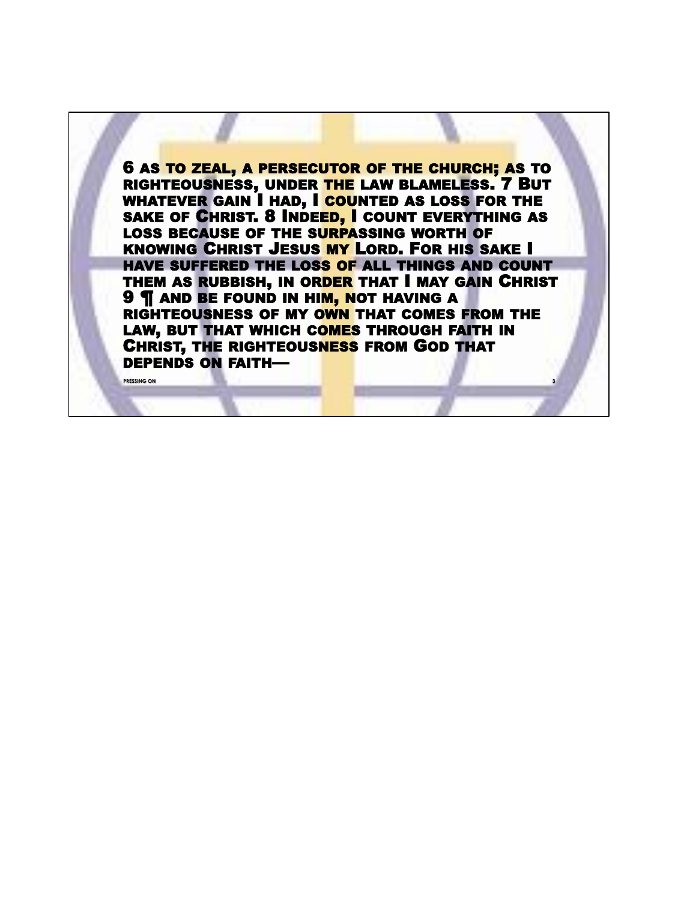6 AS TO ZEAL, A PERSECUTOR OF THE CHURCH; AS TO RIGHTEOUSNESS, UNDER THE LAW BLAMELESS. 7 BUT WHATEVER GAIN I HAD, I COUNTED AS LOSS FOR THE SAKE OF CHRIST. 8 INDEED, I COUNT EVERYTHING AS LOSS BECAUSE OF THE SURPASSING WORTH OF KNOWING CHRIST JESUS MY LORD. FOR HIS SAKE I HAVE SUFFERED THE LOSS OF ALL THINGS AND COUNT THEM AS RUBBISH, IN ORDER THAT I MAY GAIN CHRIST **9 T AND BE FOUND IN HIM, NOT HAVING A** RIGHTEOUSNESS OF MY OWN THAT COMES FROM THE LAW, BUT THAT WHICH COMES THROUGH FAITH IN CHRIST, THE RIGHTEOUSNESS FROM GOD THAT DEPENDS ON FAITH—

**PRESSING ON 3**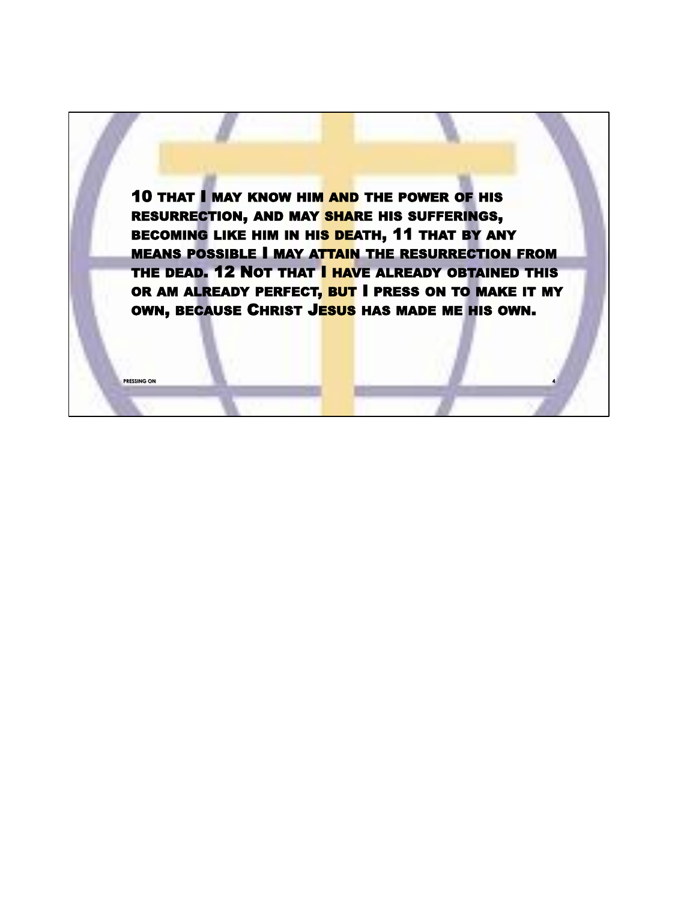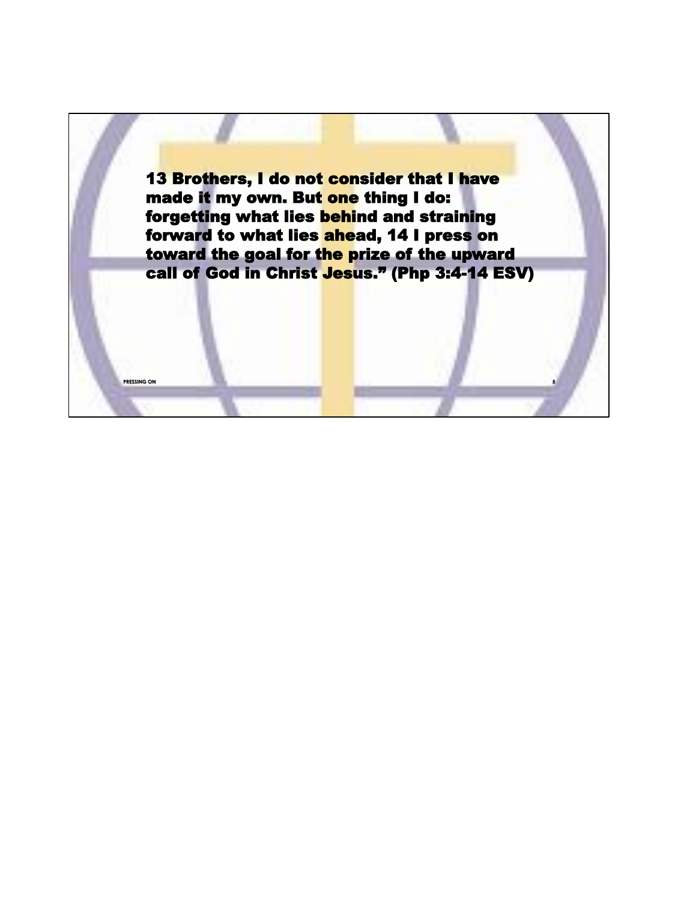13 Brothers, I do not consider that I have made it my own. But one thing I do: forgetting what lies behind and straining forward to what lies ahead, 14 I press on toward the goal for the prize of the upward call of God in Christ Jesus." (Php 3:4-14 ESV)

**PRESSING ON 5**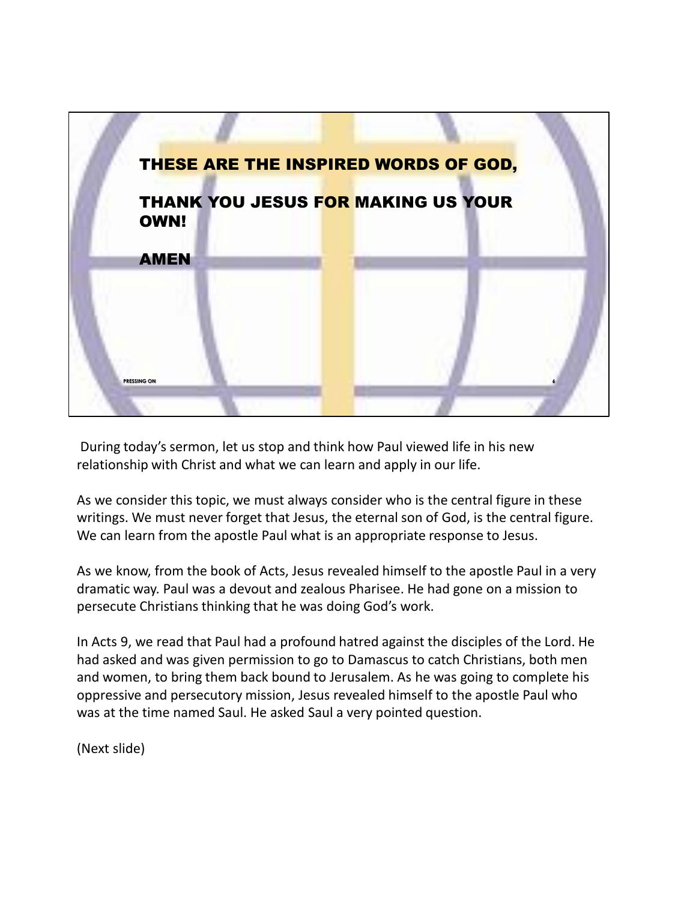

During today's sermon, let us stop and think how Paul viewed life in his new relationship with Christ and what we can learn and apply in our life.

As we consider this topic, we must always consider who is the central figure in these writings. We must never forget that Jesus, the eternal son of God, is the central figure. We can learn from the apostle Paul what is an appropriate response to Jesus.

As we know, from the book of Acts, Jesus revealed himself to the apostle Paul in a very dramatic way. Paul was a devout and zealous Pharisee. He had gone on a mission to persecute Christians thinking that he was doing God's work.

In Acts 9, we read that Paul had a profound hatred against the disciples of the Lord. He had asked and was given permission to go to Damascus to catch Christians, both men and women, to bring them back bound to Jerusalem. As he was going to complete his oppressive and persecutory mission, Jesus revealed himself to the apostle Paul who was at the time named Saul. He asked Saul a very pointed question.

(Next slide)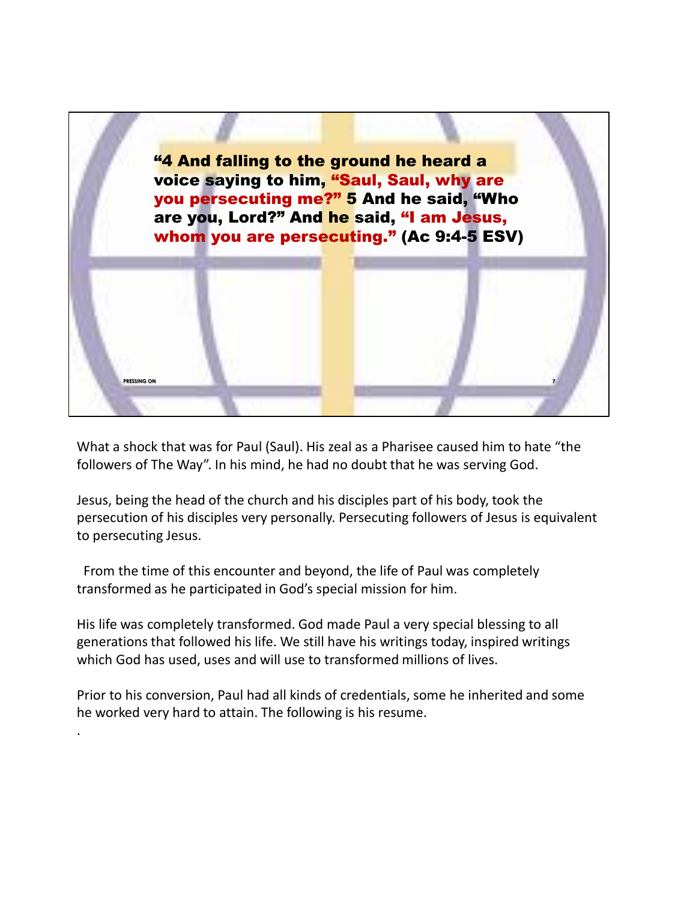

What a shock that was for Paul (Saul). His zeal as a Pharisee caused him to hate "the followers of The Way". In his mind, he had no doubt that he was serving God.

Jesus, being the head of the church and his disciples part of his body, took the persecution of his disciples very personally. Persecuting followers of Jesus is equivalent to persecuting Jesus.

From the time of this encounter and beyond, the life of Paul was completely transformed as he participated in God's special mission for him.

His life was completely transformed. God made Paul a very special blessing to all generations that followed his life. We still have his writings today, inspired writings which God has used, uses and will use to transformed millions of lives.

Prior to his conversion, Paul had all kinds of credentials, some he inherited and some he worked very hard to attain. The following is his resume.

.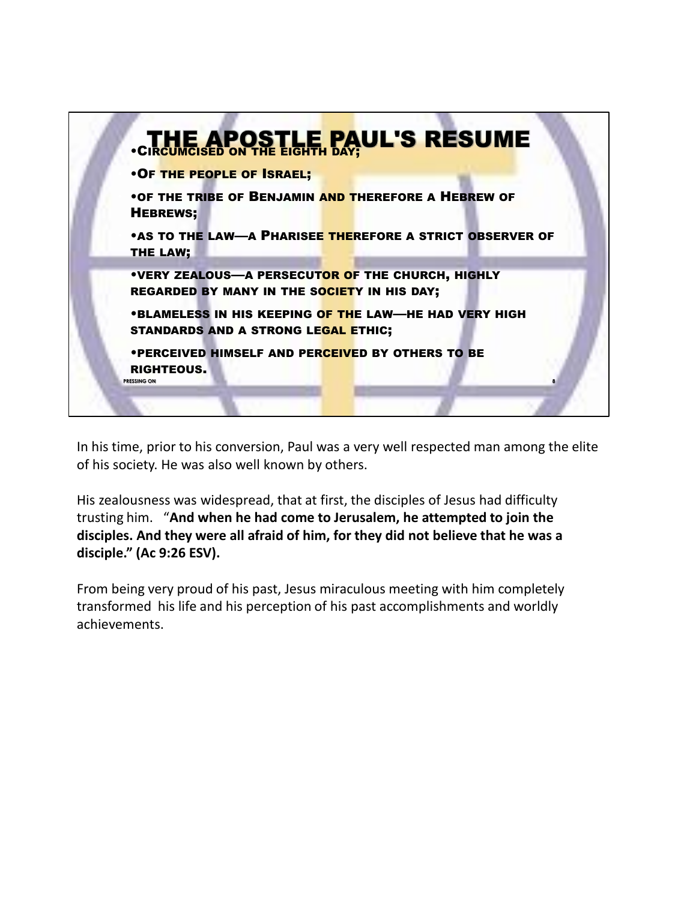

In his time, prior to his conversion, Paul was a very well respected man among the elite of his society. He was also well known by others.

His zealousness was widespread, that at first, the disciples of Jesus had difficulty trusting him. "**And when he had come to Jerusalem, he attempted to join the disciples. And they were all afraid of him, for they did not believe that he was a disciple." (Ac 9:26 ESV).**

From being very proud of his past, Jesus miraculous meeting with him completely transformed his life and his perception of his past accomplishments and worldly achievements.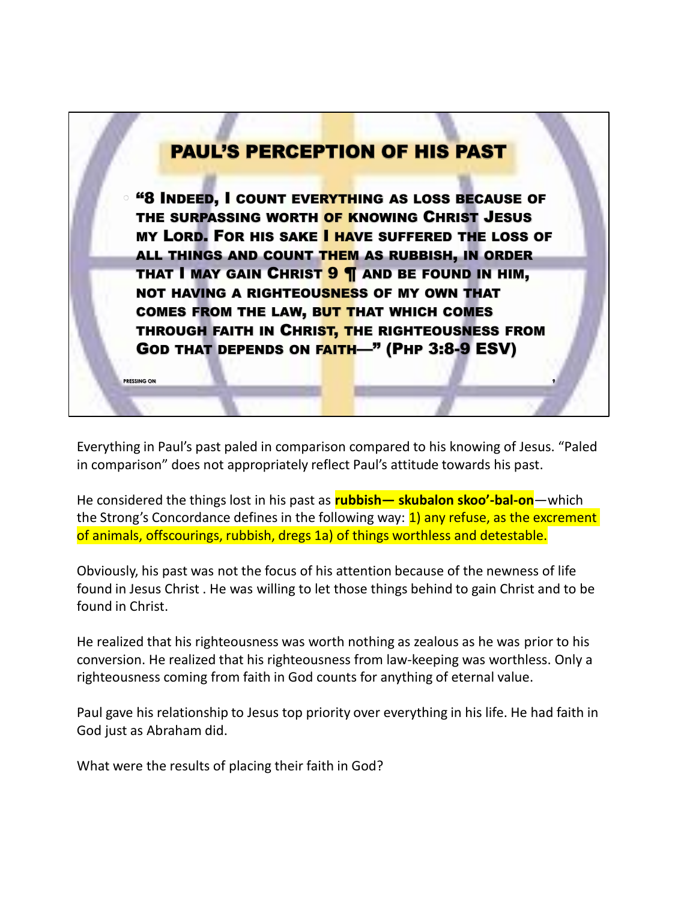

Everything in Paul's past paled in comparison compared to his knowing of Jesus. "Paled in comparison" does not appropriately reflect Paul's attitude towards his past.

He considered the things lost in his past as **rubbish— skubalon skoo'-bal-on**—which the Strong's Concordance defines in the following way:  $\frac{1}{1}$  any refuse, as the excrement of animals, offscourings, rubbish, dregs 1a) of things worthless and detestable.

Obviously, his past was not the focus of his attention because of the newness of life found in Jesus Christ . He was willing to let those things behind to gain Christ and to be found in Christ.

He realized that his righteousness was worth nothing as zealous as he was prior to his conversion. He realized that his righteousness from law-keeping was worthless. Only a righteousness coming from faith in God counts for anything of eternal value.

Paul gave his relationship to Jesus top priority over everything in his life. He had faith in God just as Abraham did.

What were the results of placing their faith in God?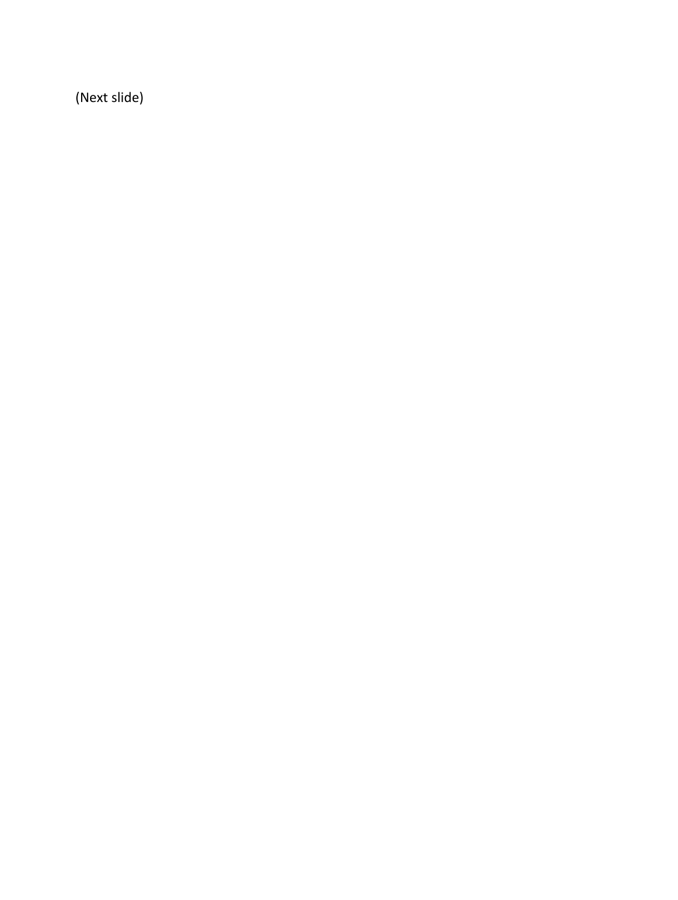(Next slide)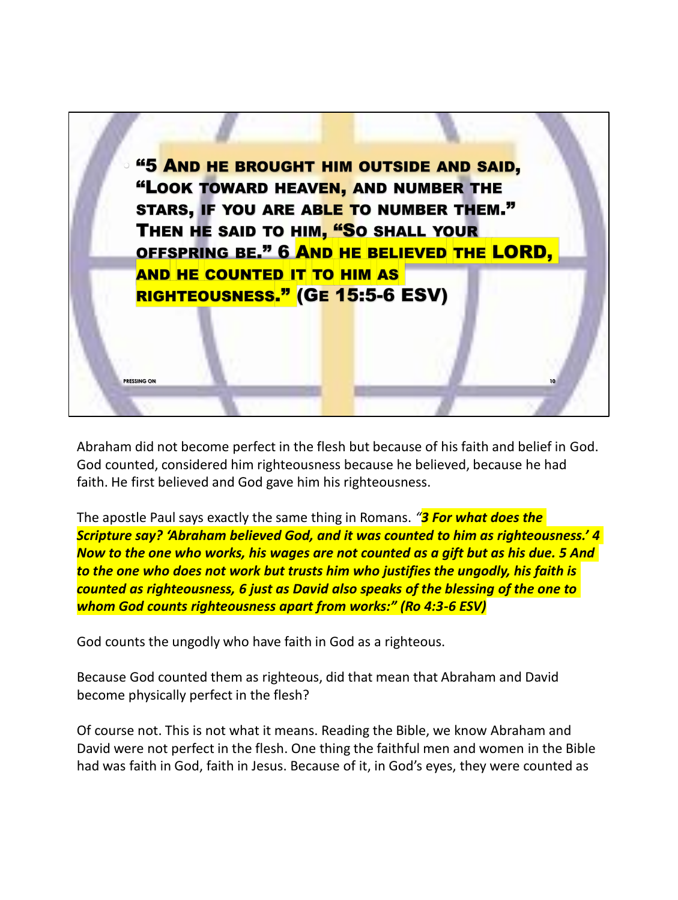

Abraham did not become perfect in the flesh but because of his faith and belief in God. God counted, considered him righteousness because he believed, because he had faith. He first believed and God gave him his righteousness.

The apostle Paul says exactly the same thing in Romans. *"3 For what does the Scripture say? 'Abraham believed God, and it was counted to him as righteousness.' 4 Now to the one who works, his wages are not counted as a gift but as his due. 5 And to the one who does not work but trusts him who justifies the ungodly, his faith is counted as righteousness, 6 just as David also speaks of the blessing of the one to whom God counts righteousness apart from works:" (Ro 4:3-6 ESV)*

God counts the ungodly who have faith in God as a righteous.

Because God counted them as righteous, did that mean that Abraham and David become physically perfect in the flesh?

Of course not. This is not what it means. Reading the Bible, we know Abraham and David were not perfect in the flesh. One thing the faithful men and women in the Bible had was faith in God, faith in Jesus. Because of it, in God's eyes, they were counted as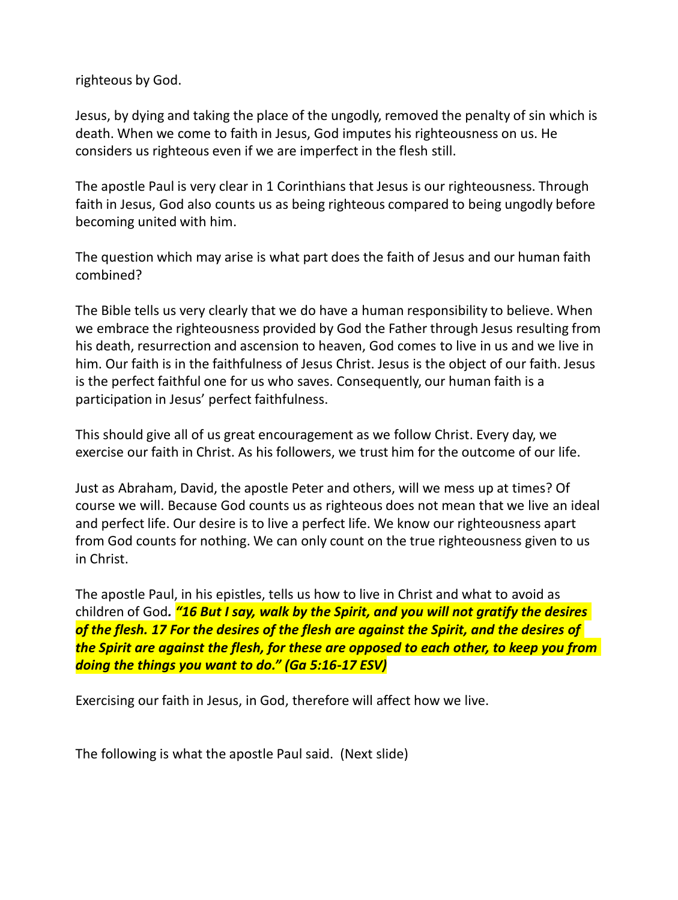righteous by God.

Jesus, by dying and taking the place of the ungodly, removed the penalty of sin which is death. When we come to faith in Jesus, God imputes his righteousness on us. He considers us righteous even if we are imperfect in the flesh still.

The apostle Paul is very clear in 1 Corinthians that Jesus is our righteousness. Through faith in Jesus, God also counts us as being righteous compared to being ungodly before becoming united with him.

The question which may arise is what part does the faith of Jesus and our human faith combined?

The Bible tells us very clearly that we do have a human responsibility to believe. When we embrace the righteousness provided by God the Father through Jesus resulting from his death, resurrection and ascension to heaven, God comes to live in us and we live in him. Our faith is in the faithfulness of Jesus Christ. Jesus is the object of our faith. Jesus is the perfect faithful one for us who saves. Consequently, our human faith is a participation in Jesus' perfect faithfulness.

This should give all of us great encouragement as we follow Christ. Every day, we exercise our faith in Christ. As his followers, we trust him for the outcome of our life.

Just as Abraham, David, the apostle Peter and others, will we mess up at times? Of course we will. Because God counts us as righteous does not mean that we live an ideal and perfect life. Our desire is to live a perfect life. We know our righteousness apart from God counts for nothing. We can only count on the true righteousness given to us in Christ.

The apostle Paul, in his epistles, tells us how to live in Christ and what to avoid as children of God*. "16 But I say, walk by the Spirit, and you will not gratify the desires of the flesh. 17 For the desires of the flesh are against the Spirit, and the desires of the Spirit are against the flesh, for these are opposed to each other, to keep you from doing the things you want to do." (Ga 5:16-17 ESV)*

Exercising our faith in Jesus, in God, therefore will affect how we live.

The following is what the apostle Paul said. (Next slide)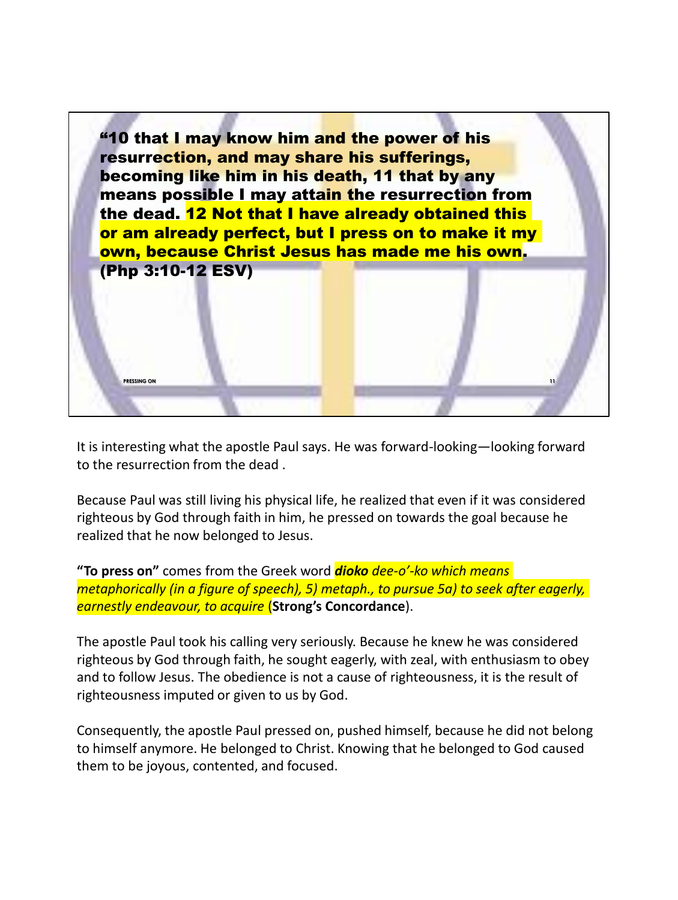

It is interesting what the apostle Paul says. He was forward-looking—looking forward to the resurrection from the dead .

Because Paul was still living his physical life, he realized that even if it was considered righteous by God through faith in him, he pressed on towards the goal because he realized that he now belonged to Jesus.

**"To press on"** comes from the Greek word *dioko dee-o'-ko which means metaphorically (in a figure of speech), 5) metaph., to pursue 5a) to seek after eagerly, earnestly endeavour, to acquire* (**Strong's Concordance**).

The apostle Paul took his calling very seriously. Because he knew he was considered righteous by God through faith, he sought eagerly, with zeal, with enthusiasm to obey and to follow Jesus. The obedience is not a cause of righteousness, it is the result of righteousness imputed or given to us by God.

Consequently, the apostle Paul pressed on, pushed himself, because he did not belong to himself anymore. He belonged to Christ. Knowing that he belonged to God caused them to be joyous, contented, and focused.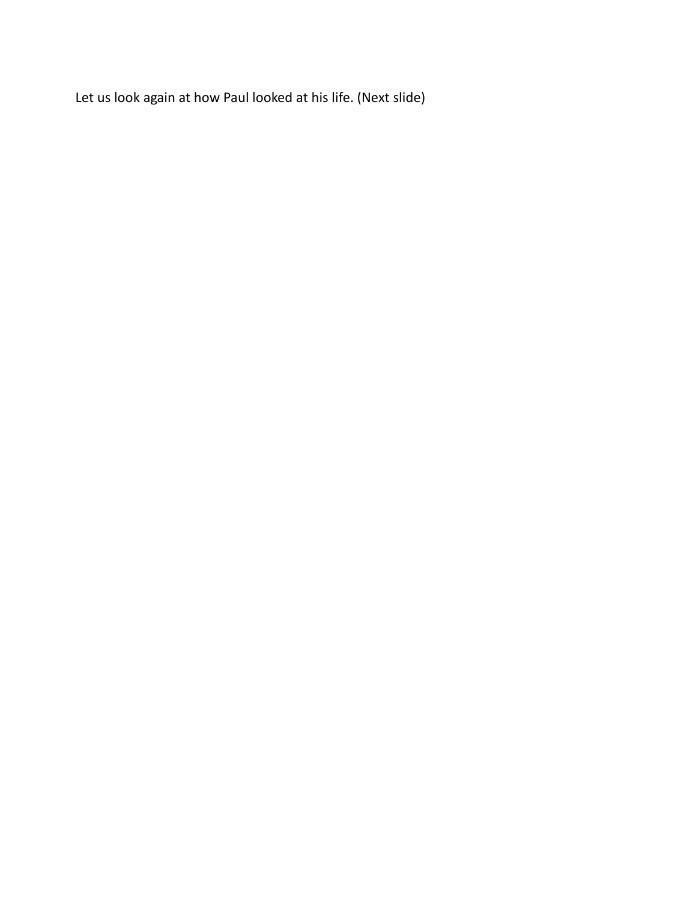Let us look again at how Paul looked at his life. (Next slide)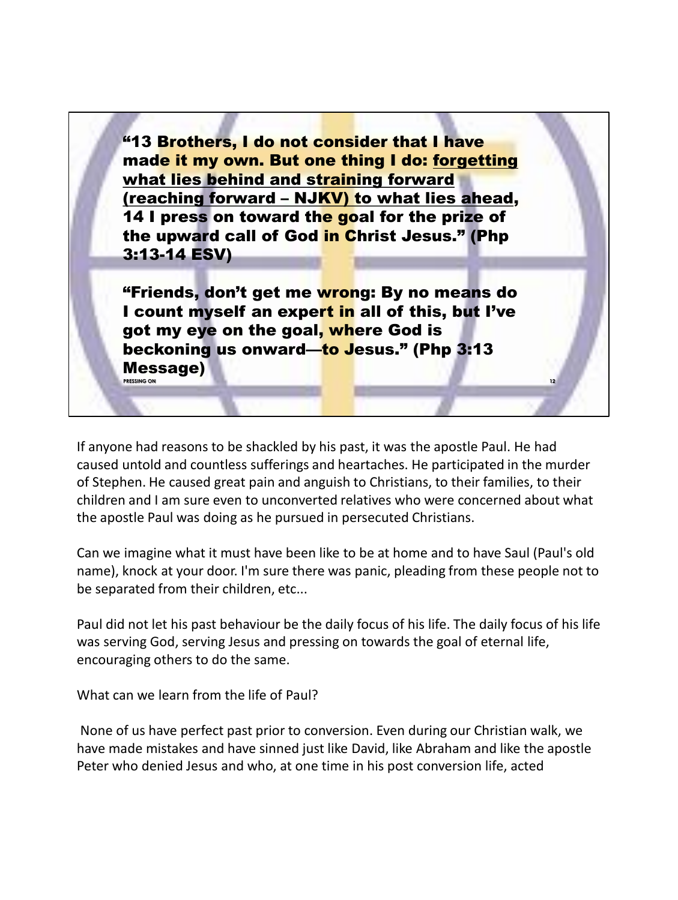"13 Brothers, I do not consider that I have made it my own. But one thing I do: forgetting what lies behind and straining forward (reaching forward – NJKV) to what lies ahead, 14 I press on toward the goal for the prize of the upward call of God in Christ Jesus." (Php 3:13-14 ESV)

"Friends, don't get me wrong: By no means do I count myself an expert in all of this, but I've got my eye on the goal, where God is beckoning us onward—to Jesus." (Php 3:13 Message) **PRESSING ON**

If anyone had reasons to be shackled by his past, it was the apostle Paul. He had caused untold and countless sufferings and heartaches. He participated in the murder of Stephen. He caused great pain and anguish to Christians, to their families, to their children and I am sure even to unconverted relatives who were concerned about what the apostle Paul was doing as he pursued in persecuted Christians.

**12**

Can we imagine what it must have been like to be at home and to have Saul (Paul's old name), knock at your door. I'm sure there was panic, pleading from these people not to be separated from their children, etc...

Paul did not let his past behaviour be the daily focus of his life. The daily focus of his life was serving God, serving Jesus and pressing on towards the goal of eternal life, encouraging others to do the same.

What can we learn from the life of Paul?

None of us have perfect past prior to conversion. Even during our Christian walk, we have made mistakes and have sinned just like David, like Abraham and like the apostle Peter who denied Jesus and who, at one time in his post conversion life, acted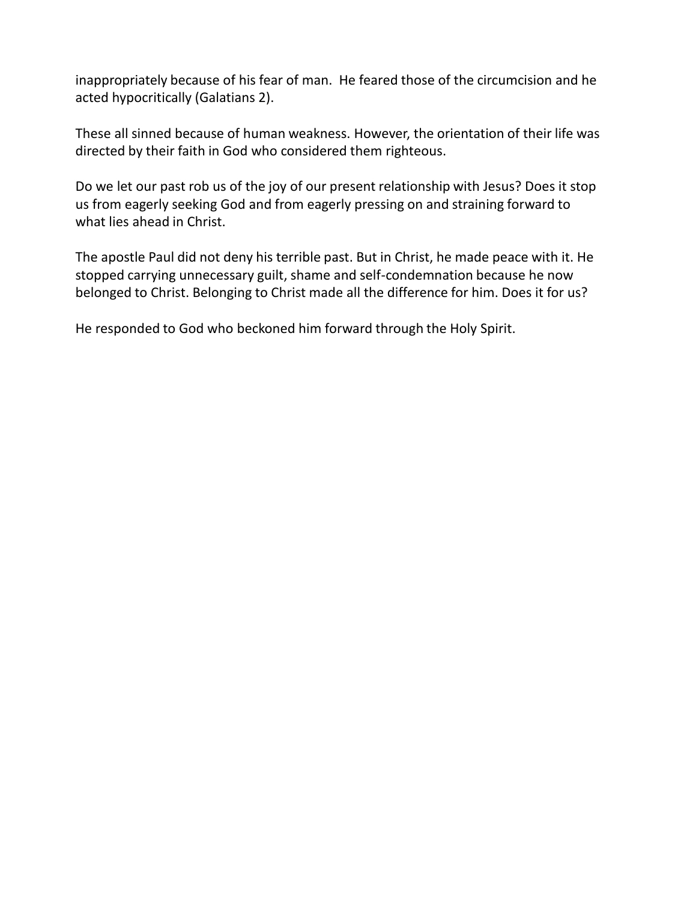inappropriately because of his fear of man. He feared those of the circumcision and he acted hypocritically (Galatians 2).

These all sinned because of human weakness. However, the orientation of their life was directed by their faith in God who considered them righteous.

Do we let our past rob us of the joy of our present relationship with Jesus? Does it stop us from eagerly seeking God and from eagerly pressing on and straining forward to what lies ahead in Christ.

The apostle Paul did not deny his terrible past. But in Christ, he made peace with it. He stopped carrying unnecessary guilt, shame and self-condemnation because he now belonged to Christ. Belonging to Christ made all the difference for him. Does it for us?

He responded to God who beckoned him forward through the Holy Spirit.